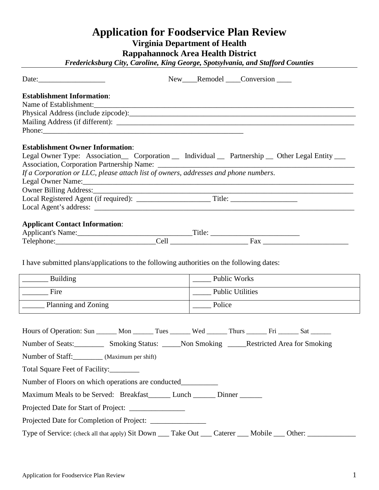# **Application for Foodservice Plan Review Virginia Department of Health Rappahannock Area Health District**

*Fredericksburg City, Caroline, King George, Spotsylvania, and Stafford Counties*

|                                                                                                      | New Remodel Conversion                                                                              |
|------------------------------------------------------------------------------------------------------|-----------------------------------------------------------------------------------------------------|
| <b>Establishment Information:</b><br>Name of Establishment:                                          |                                                                                                     |
|                                                                                                      |                                                                                                     |
|                                                                                                      |                                                                                                     |
|                                                                                                      |                                                                                                     |
| <b>Establishment Owner Information:</b>                                                              |                                                                                                     |
|                                                                                                      | Legal Owner Type: Association Corporation _ Individual _ Partnership _ Other Legal Entity __        |
|                                                                                                      |                                                                                                     |
| If a Corporation or LLC, please attach list of owners, addresses and phone numbers.                  |                                                                                                     |
|                                                                                                      | Legal Owner Name:                                                                                   |
|                                                                                                      |                                                                                                     |
|                                                                                                      |                                                                                                     |
|                                                                                                      |                                                                                                     |
| <b>Applicant Contact Information:</b>                                                                |                                                                                                     |
|                                                                                                      |                                                                                                     |
|                                                                                                      |                                                                                                     |
| I have submitted plans/applications to the following authorities on the following dates:<br>Building | Public Works                                                                                        |
| Fire                                                                                                 | _____ Public Utilities                                                                              |
| Planning and Zoning                                                                                  | Police                                                                                              |
|                                                                                                      |                                                                                                     |
|                                                                                                      | Hours of Operation: Sun ______ Mon ______ Tues ______ Wed ______ Thurs ______ Fri ______ Sat ______ |
|                                                                                                      | Number of Seats: ___________ Smoking Status: _____Non Smoking _____Restricted Area for Smoking      |
| Number of Staff: __________ (Maximum per shift)                                                      |                                                                                                     |
| Total Square Feet of Facility:                                                                       |                                                                                                     |
|                                                                                                      |                                                                                                     |
| Maximum Meals to be Served: Breakfast______ Lunch ______ Dinner ______                               |                                                                                                     |
| Projected Date for Start of Project: _______________                                                 |                                                                                                     |
|                                                                                                      |                                                                                                     |
| Type of Service: (check all that apply) Sit Down ___ Take Out __                                     | Mobile __<br>Caterer<br>Other:                                                                      |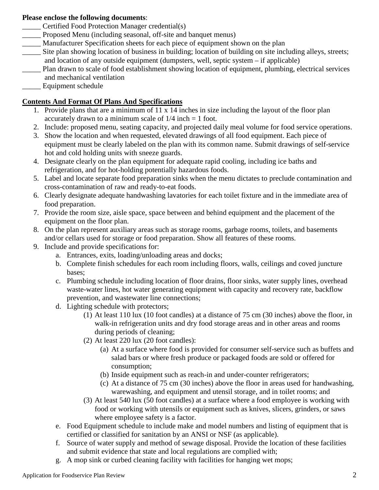## **Please enclose the following documents**:

- \_\_\_\_\_ Certified Food Protection Manager credential(s)
- Proposed Menu (including seasonal, off-site and banquet menus)
- \_\_\_\_\_ Manufacturer Specification sheets for each piece of equipment shown on the plan
- Site plan showing location of business in building; location of building on site including alleys, streets; and location of any outside equipment (dumpsters, well, septic system – if applicable)
- \_\_\_\_\_ Plan drawn to scale of food establishment showing location of equipment, plumbing, electrical services and mechanical ventilation
- Equipment schedule

## **Contents And Format Of Plans And Specifications**

- 1. Provide plans that are a minimum of 11 x 14 inches in size including the layout of the floor plan accurately drawn to a minimum scale of  $1/4$  inch  $= 1$  foot.
- 2. Include: proposed menu, seating capacity, and projected daily meal volume for food service operations.
- 3. Show the location and when requested, elevated drawings of all food equipment. Each piece of equipment must be clearly labeled on the plan with its common name. Submit drawings of self-service hot and cold holding units with sneeze guards.
- 4. Designate clearly on the plan equipment for adequate rapid cooling, including ice baths and refrigeration, and for hot-holding potentially hazardous foods.
- 5. Label and locate separate food preparation sinks when the menu dictates to preclude contamination and cross-contamination of raw and ready-to-eat foods.
- 6. Clearly designate adequate handwashing lavatories for each toilet fixture and in the immediate area of food preparation.
- 7. Provide the room size, aisle space, space between and behind equipment and the placement of the equipment on the floor plan.
- 8. On the plan represent auxiliary areas such as storage rooms, garbage rooms, toilets, and basements and/or cellars used for storage or food preparation. Show all features of these rooms.
- 9. Include and provide specifications for:
	- a. Entrances, exits, loading/unloading areas and docks;
	- b. Complete finish schedules for each room including floors, walls, ceilings and coved juncture bases;
	- c. Plumbing schedule including location of floor drains, floor sinks, water supply lines, overhead waste-water lines, hot water generating equipment with capacity and recovery rate, backflow prevention, and wastewater line connections;
	- d. Lighting schedule with protectors;
		- (1) At least 110 lux (10 foot candles) at a distance of 75 cm (30 inches) above the floor, in walk-in refrigeration units and dry food storage areas and in other areas and rooms during periods of cleaning;
		- (2) At least 220 lux (20 foot candles):
			- (a) At a surface where food is provided for consumer self-service such as buffets and salad bars or where fresh produce or packaged foods are sold or offered for consumption;
			- (b) Inside equipment such as reach-in and under-counter refrigerators;
			- (c) At a distance of 75 cm (30 inches) above the floor in areas used for handwashing, warewashing, and equipment and utensil storage, and in toilet rooms; and
		- (3) At least 540 lux (50 foot candles) at a surface where a food employee is working with food or working with utensils or equipment such as knives, slicers, grinders, or saws where employee safety is a factor.
	- e. Food Equipment schedule to include make and model numbers and listing of equipment that is certified or classified for sanitation by an ANSI or NSF (as applicable).
	- f. Source of water supply and method of sewage disposal. Provide the location of these facilities and submit evidence that state and local regulations are complied with;
	- g. A mop sink or curbed cleaning facility with facilities for hanging wet mops;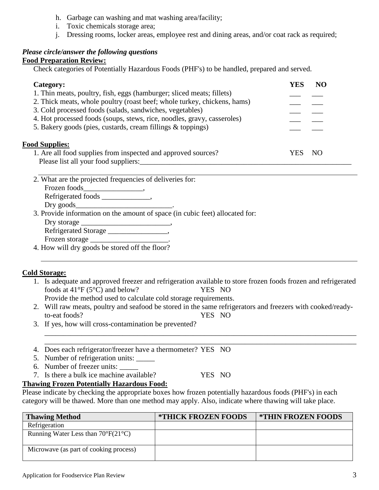- h. Garbage can washing and mat washing area/facility;
- i. Toxic chemicals storage area;
- j. Dressing rooms, locker areas, employee rest and dining areas, and/or coat rack as required;

## *Please circle/answer the following questions*

### **Food Preparation Review:**

Check categories of Potentially Hazardous Foods (PHF's) to be handled, prepared and served.

| Category:                                                                | YES | NO |
|--------------------------------------------------------------------------|-----|----|
| 1. Thin meats, poultry, fish, eggs (hamburger; sliced meats; fillets)    |     |    |
| 2. Thick meats, whole poultry (roast beef; whole turkey, chickens, hams) |     |    |
| 3. Cold processed foods (salads, sandwiches, vegetables)                 |     |    |
| 4. Hot processed foods (soups, stews, rice, noodles, gravy, casseroles)  |     |    |
| 5. Bakery goods (pies, custards, cream fillings & toppings)              |     |    |
| <b>Food Supplies:</b>                                                    |     |    |
| 1. Are all food supplies from inspected and approved sources?            | YES | NO |
| Please list all your food suppliers:                                     |     |    |

2. What are the projected frequencies of deliveries for:

Frozen foods\_\_\_\_\_\_\_\_\_\_\_\_\_\_\_\_\_\_, Refrigerated foods \_\_\_\_\_\_\_\_\_\_\_\_\_,

Dry goods

3. Provide information on the amount of space (in cubic feet) allocated for:

Dry storage \_\_\_\_\_\_\_\_\_\_\_\_\_\_\_\_\_\_\_\_\_\_\_\_,

Refrigerated Storage \_\_\_\_\_\_\_\_\_\_\_\_\_\_, Frozen storage \_\_\_\_\_\_\_\_\_\_\_\_\_\_\_\_\_\_\_\_\_.

4. How will dry goods be stored off the floor?

## **Cold Storage:**

- 1. Is adequate and approved freezer and refrigeration available to store frozen foods frozen and refrigerated foods at 41°F (5°C) and below? YES NO
	- Provide the method used to calculate cold storage requirements.
- 2. Will raw meats, poultry and seafood be stored in the same refrigerators and freezers with cooked/readyto-eat foods? YES NO

\_\_\_\_\_\_\_\_\_\_\_\_\_\_\_\_\_\_\_\_\_\_\_\_\_\_\_\_\_\_\_\_\_\_\_\_\_\_\_\_\_\_\_\_\_\_\_\_\_\_\_\_\_\_\_\_\_\_\_\_\_\_\_\_\_\_\_\_\_\_\_\_\_\_\_\_\_\_\_\_\_\_\_\_ \_\_\_\_\_\_\_\_\_\_\_\_\_\_\_\_\_\_\_\_\_\_\_\_\_\_\_\_\_\_\_\_\_\_\_\_\_\_\_\_\_\_\_\_\_\_\_\_\_\_\_\_\_\_\_\_\_\_\_\_\_\_\_\_\_\_\_\_\_\_\_\_\_\_\_\_\_\_\_\_\_\_\_\_

- 3. If yes, how will cross-contamination be prevented?
- 4. Does each refrigerator/freezer have a thermometer? YES NO
- 5. Number of refrigeration units: \_\_\_\_\_
- 6. Number of freezer units: \_\_\_\_\_
- 7. Is there a bulk ice machine available? YES NO

## **Thawing Frozen Potentially Hazardous Food:**

Please indicate by checking the appropriate boxes how frozen potentially hazardous foods (PHF's) in each category will be thawed. More than one method may apply. Also, indicate where thawing will take place.

| <b>Thawing Method</b>                              | <b>*THICK FROZEN FOODS</b> | <i><b>*THIN FROZEN FOODS</b></i> |
|----------------------------------------------------|----------------------------|----------------------------------|
| Refrigeration                                      |                            |                                  |
| Running Water Less than $70^{\circ}F(21^{\circ}C)$ |                            |                                  |
| Microwave (as part of cooking process)             |                            |                                  |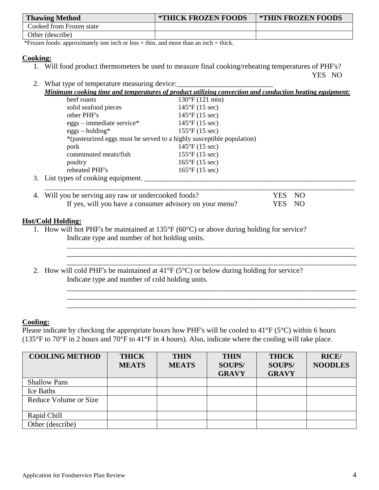| <b>Thawing Method</b>    | <b>*THICK FROZEN FOODS</b> | <b>*THIN FROZEN FOODS</b> |
|--------------------------|----------------------------|---------------------------|
| Cooked from Frozen state |                            |                           |
| Other (describe)         |                            |                           |

\*Frozen foods: approximately one inch or less = thin, and more than an inch = thick.

#### **Cooking:**

1. Will food product thermometers be used to measure final cooking/reheating temperatures of PHF's?

YES NO

2. What type of temperature measuring device:

*Minimum cooking time and temperatures of product utilizing convection and conduction heating equipment:*   $\frac{120°E}{(121 \text{ min})}$ 

| beel roasts                         | 130 F (121 HIII)                                                      |  |
|-------------------------------------|-----------------------------------------------------------------------|--|
| solid seafood pieces                | $145^{\circ}F(15 \text{ sec})$                                        |  |
| other PHF's                         | $145^{\circ}F(15 \text{ sec})$                                        |  |
| $eggs$ – immediate service*         | $145^{\circ}F(15 \text{ sec})$                                        |  |
| $eggs - holding*$                   | $155^{\circ}F(15 \text{ sec})$                                        |  |
|                                     | *(pasteurized eggs must be served to a highly susceptible population) |  |
| pork                                | $145^{\circ}F(15 \text{ sec})$                                        |  |
| comminuted meats/fish               | $155^{\circ}F(15 \text{ sec})$                                        |  |
| poultry                             | $165^{\circ}F(15 \text{ sec})$                                        |  |
| reheated PHF's                      | $165^{\circ}F(15 \text{ sec})$                                        |  |
| 3. List types of cooking equipment. |                                                                       |  |
|                                     |                                                                       |  |

\_\_\_\_\_\_\_\_\_\_\_\_\_\_\_\_\_\_\_\_\_\_\_\_\_\_\_\_\_\_\_\_\_\_\_\_\_\_\_\_\_\_\_\_\_\_\_\_\_\_\_\_\_\_\_\_\_\_\_\_\_\_\_\_\_\_\_\_\_\_\_\_\_\_\_\_\_\_\_\_\_\_\_\_\_\_\_\_\_\_\_\_\_ \_\_\_\_\_\_\_\_\_\_\_\_\_\_\_\_\_\_\_\_\_\_\_\_\_\_\_\_\_\_\_\_\_\_\_\_\_\_\_\_\_\_\_\_\_\_\_\_\_\_\_\_\_\_\_\_\_\_\_\_\_\_\_\_\_\_\_\_\_\_\_\_\_\_\_\_\_\_

\_\_\_\_\_\_\_\_\_\_\_\_\_\_\_\_\_\_\_\_\_\_\_\_\_\_\_\_\_\_\_\_\_\_\_\_\_\_\_\_\_\_\_\_\_\_\_\_\_\_\_\_\_\_\_\_\_\_\_\_\_\_\_\_\_\_\_\_\_\_\_\_\_\_\_\_\_\_ \_\_\_\_\_\_\_\_\_\_\_\_\_\_\_\_\_\_\_\_\_\_\_\_\_\_\_\_\_\_\_\_\_\_\_\_\_\_\_\_\_\_\_\_\_\_\_\_\_\_\_\_\_\_\_\_\_\_\_\_\_\_\_\_\_\_\_\_\_\_\_\_\_\_\_\_\_\_ \_\_\_\_\_\_\_\_\_\_\_\_\_\_\_\_\_\_\_\_\_\_\_\_\_\_\_\_\_\_\_\_\_\_\_\_\_\_\_\_\_\_\_\_\_\_\_\_\_\_\_\_\_\_\_\_\_\_\_\_\_\_\_\_\_\_\_\_\_\_\_\_\_\_\_\_\_\_

| 4. Will you be serving any raw or undercooked foods?    | YES NO |  |
|---------------------------------------------------------|--------|--|
| If yes, will you have a consumer advisory on your menu? | YES NO |  |

## **Hot/Cold Holding:**

- 1. How will hot PHF's be maintained at 135°F (60°C) or above during holding for service? Indicate type and number of hot holding units.
- \_\_\_\_\_\_\_\_\_\_\_\_\_\_\_\_\_\_\_\_\_\_\_\_\_\_\_\_\_\_\_\_\_\_\_\_\_\_\_\_\_\_\_\_\_\_\_\_\_\_\_\_\_\_\_\_\_\_\_\_\_\_\_\_\_\_\_\_\_\_\_\_\_\_\_\_\_\_ 2. How will cold PHF's be maintained at 41°F (5°C) or below during holding for service? Indicate type and number of cold holding units.

## **Cooling:**

Please indicate by checking the appropriate boxes how PHF's will be cooled to 41°F (5°C) within 6 hours (135°F to 70°F in 2 hours and 70°F to 41°F in 4 hours). Also, indicate where the cooling will take place.

| <b>COOLING METHOD</b> | <b>THICK</b> | <b>THIN</b>  | <b>THIN</b>   | <b>THICK</b>  | <b>RICE</b> /  |
|-----------------------|--------------|--------------|---------------|---------------|----------------|
|                       | <b>MEATS</b> | <b>MEATS</b> | <b>SOUPS/</b> | <b>SOUPS/</b> | <b>NOODLES</b> |
|                       |              |              | <b>GRAVY</b>  | <b>GRAVY</b>  |                |
| <b>Shallow Pans</b>   |              |              |               |               |                |
| Ice Baths             |              |              |               |               |                |
| Reduce Volume or Size |              |              |               |               |                |
|                       |              |              |               |               |                |
| Rapid Chill           |              |              |               |               |                |
| Other (describe)      |              |              |               |               |                |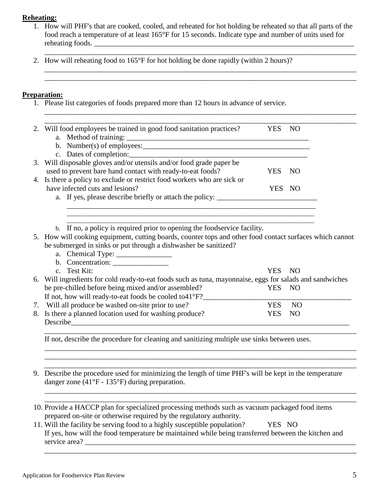#### **Reheating:**

1. How will PHF's that are cooked, cooled, and reheated for hot holding be reheated so that all parts of the food reach a temperature of at least 165°F for 15 seconds. Indicate type and number of units used for reheating foods.

\_\_\_\_\_\_\_\_\_\_\_\_\_\_\_\_\_\_\_\_\_\_\_\_\_\_\_\_\_\_\_\_\_\_\_\_\_\_\_\_\_\_\_\_\_\_\_\_\_\_\_\_\_\_\_\_\_\_\_\_\_\_\_\_\_\_\_\_\_\_\_\_\_\_\_\_\_\_\_\_\_\_\_\_ \_\_\_\_\_\_\_\_\_\_\_\_\_\_\_\_\_\_\_\_\_\_\_\_\_\_\_\_\_\_\_\_\_\_\_\_\_\_\_\_\_\_\_\_\_\_\_\_\_\_\_\_\_\_\_\_\_\_\_\_\_\_\_\_\_\_\_\_\_\_\_\_\_\_\_\_\_\_\_\_\_\_\_\_

\_\_\_\_\_\_\_\_\_\_\_\_\_\_\_\_\_\_\_\_\_\_\_\_\_\_\_\_\_\_\_\_\_\_\_\_\_\_\_\_\_\_\_\_\_\_\_\_\_\_\_\_\_\_\_\_\_\_\_\_\_\_\_\_\_\_\_\_\_\_\_\_\_\_\_\_\_\_\_\_\_\_\_\_

\_\_\_\_\_\_\_\_\_\_\_\_\_\_\_\_\_\_\_\_\_\_\_\_\_\_\_\_\_\_\_\_\_\_\_\_\_\_\_\_\_\_\_\_\_\_\_\_\_\_\_\_\_\_\_\_\_\_\_\_\_\_\_\_\_\_\_\_\_\_\_\_\_\_\_\_\_\_\_\_\_\_\_\_ 2. How will reheating food to 165°F for hot holding be done rapidly (within 2 hours)?

#### **Preparation:**

1. Please list categories of foods prepared more than 12 hours in advance of service.

| 2. Will food employees be trained in good food sanitation practices?                                     |                                                                           | YES NO     |                |  |
|----------------------------------------------------------------------------------------------------------|---------------------------------------------------------------------------|------------|----------------|--|
|                                                                                                          |                                                                           |            |                |  |
|                                                                                                          |                                                                           |            |                |  |
|                                                                                                          |                                                                           |            |                |  |
| 3. Will disposable gloves and/or utensils and/or food grade paper be                                     |                                                                           |            |                |  |
| used to prevent bare hand contact with ready-to-eat foods?                                               |                                                                           | YES NO     |                |  |
| 4. Is there a policy to exclude or restrict food workers who are sick or                                 |                                                                           |            |                |  |
| have infected cuts and lesions?                                                                          |                                                                           | YES NO     |                |  |
|                                                                                                          |                                                                           |            |                |  |
|                                                                                                          |                                                                           |            |                |  |
|                                                                                                          |                                                                           |            |                |  |
|                                                                                                          |                                                                           |            |                |  |
|                                                                                                          |                                                                           |            |                |  |
|                                                                                                          | b. If no, a policy is required prior to opening the foodservice facility. |            |                |  |
| 5. How will cooking equipment, cutting boards, counter tops and other food contact surfaces which cannot |                                                                           |            |                |  |
| be submerged in sinks or put through a dishwasher be sanitized?                                          |                                                                           |            |                |  |
|                                                                                                          |                                                                           |            |                |  |
| b. Concentration:                                                                                        |                                                                           |            |                |  |
| c. Test Kit:                                                                                             |                                                                           | YES .      | - NO           |  |
| 6. Will ingredients for cold ready-to-eat foods such as tuna, mayonnaise, eggs for salads and sandwiches |                                                                           |            |                |  |
| be pre-chilled before being mixed and/or assembled?                                                      |                                                                           | YES NO     |                |  |
| If not, how will ready-to-eat foods be cooled to 41°F?___________________________                        |                                                                           |            |                |  |
| 7. Will all produce be washed on-site prior to use?                                                      |                                                                           | <b>YES</b> | N <sub>O</sub> |  |
| 8. Is there a planned location used for washing produce?<br>Describe                                     |                                                                           | <b>YES</b> | <b>NO</b>      |  |

9. Describe the procedure used for minimizing the length of time PHF's will be kept in the temperature danger zone (41°F - 135°F) during preparation.

\_\_\_\_\_\_\_\_\_\_\_\_\_\_\_\_\_\_\_\_\_\_\_\_\_\_\_\_\_\_\_\_\_\_\_\_\_\_\_\_\_\_\_\_\_\_\_\_\_\_\_\_\_\_\_\_\_\_\_\_\_\_\_\_\_\_\_\_\_\_\_\_\_\_\_\_\_\_\_\_\_\_\_\_ \_\_\_\_\_\_\_\_\_\_\_\_\_\_\_\_\_\_\_\_\_\_\_\_\_\_\_\_\_\_\_\_\_\_\_\_\_\_\_\_\_\_\_\_\_\_\_\_\_\_\_\_\_\_\_\_\_\_\_\_\_\_\_\_\_\_\_\_\_\_\_\_\_\_\_\_\_\_\_\_\_\_\_\_

\_\_\_\_\_\_\_\_\_\_\_\_\_\_\_\_\_\_\_\_\_\_\_\_\_\_\_\_\_\_\_\_\_\_\_\_\_\_\_\_\_\_\_\_\_\_\_\_\_\_\_\_\_\_\_\_\_\_\_\_\_\_\_\_\_\_\_\_\_\_\_\_\_\_\_\_\_\_\_\_\_\_\_\_ \_\_\_\_\_\_\_\_\_\_\_\_\_\_\_\_\_\_\_\_\_\_\_\_\_\_\_\_\_\_\_\_\_\_\_\_\_\_\_\_\_\_\_\_\_\_\_\_\_\_\_\_\_\_\_\_\_\_\_\_\_\_\_\_\_\_\_\_\_\_\_\_\_\_\_\_\_\_\_\_\_\_\_\_

\_\_\_\_\_\_\_\_\_\_\_\_\_\_\_\_\_\_\_\_\_\_\_\_\_\_\_\_\_\_\_\_\_\_\_\_\_\_\_\_\_\_\_\_\_\_\_\_\_\_\_\_\_\_\_\_\_\_\_\_\_\_\_\_\_\_\_\_\_\_\_\_\_\_\_\_\_\_\_\_\_\_\_\_

- 10. Provide a HACCP plan for specialized processing methods such as vacuum packaged food items prepared on-site or otherwise required by the regulatory authority.
- 11. Will the facility be serving food to a highly susceptible population? YES NO If yes, how will the food temperature be maintained while being transferred between the kitchen and service area? \_\_\_\_\_\_\_\_\_\_\_\_\_\_\_\_\_\_\_\_\_\_\_\_\_\_\_\_\_\_\_\_\_\_\_\_\_\_\_\_\_\_\_\_\_\_\_\_\_\_\_\_\_\_\_\_\_\_\_\_\_\_\_\_\_\_\_\_\_\_\_\_\_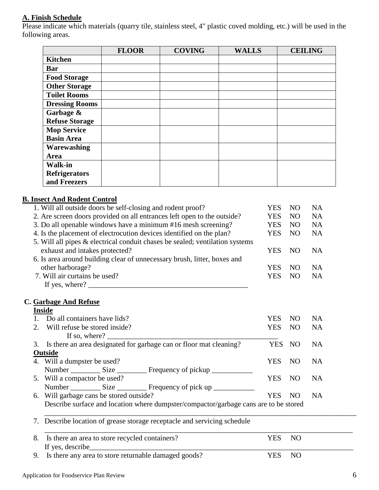## **A. Finish Schedule**

Please indicate which materials (quarry tile, stainless steel, 4" plastic coved molding, etc.) will be used in the following areas.

|                       | <b>FLOOR</b> | <b>COVING</b> | <b>WALLS</b> | <b>CEILING</b> |
|-----------------------|--------------|---------------|--------------|----------------|
| <b>Kitchen</b>        |              |               |              |                |
| <b>Bar</b>            |              |               |              |                |
| <b>Food Storage</b>   |              |               |              |                |
| <b>Other Storage</b>  |              |               |              |                |
| <b>Toilet Rooms</b>   |              |               |              |                |
| <b>Dressing Rooms</b> |              |               |              |                |
| Garbage &             |              |               |              |                |
| <b>Refuse Storage</b> |              |               |              |                |
| <b>Mop Service</b>    |              |               |              |                |
| <b>Basin Area</b>     |              |               |              |                |
| Warewashing           |              |               |              |                |
| Area                  |              |               |              |                |
| <b>Walk-in</b>        |              |               |              |                |
| <b>Refrigerators</b>  |              |               |              |                |
| and Freezers          |              |               |              |                |

## **B. Insect And Rodent Control**

|    | 1. Will all outside doors be self-closing and rodent proof?                          | <b>YES</b> | N <sub>O</sub> | <b>NA</b> |
|----|--------------------------------------------------------------------------------------|------------|----------------|-----------|
|    | 2. Are screen doors provided on all entrances left open to the outside?              | <b>YES</b> | N <sub>O</sub> | <b>NA</b> |
|    | 3. Do all openable windows have a minimum #16 mesh screening?                        | <b>YES</b> | N <sub>O</sub> | <b>NA</b> |
|    | 4. Is the placement of electrocution devices identified on the plan?                 | <b>YES</b> | N <sub>O</sub> | <b>NA</b> |
|    | 5. Will all pipes & electrical conduit chases be sealed; ventilation systems         |            |                |           |
|    | exhaust and intakes protected?                                                       | <b>YES</b> | N <sub>O</sub> | <b>NA</b> |
|    | 6. Is area around building clear of unnecessary brush, litter, boxes and             |            |                |           |
|    | other harborage?                                                                     | <b>YES</b> | N <sub>O</sub> | <b>NA</b> |
|    | 7. Will air curtains be used?                                                        | <b>YES</b> | N <sub>O</sub> | <b>NA</b> |
|    |                                                                                      |            |                |           |
|    |                                                                                      |            |                |           |
|    | C. Garbage And Refuse                                                                |            |                |           |
|    | <b>Inside</b>                                                                        |            |                |           |
|    | 1. Do all containers have lids?                                                      | <b>YES</b> | N <sub>O</sub> | <b>NA</b> |
| 2. | Will refuse be stored inside?                                                        | <b>YES</b> | N <sub>O</sub> | <b>NA</b> |
|    | If so, where? $\qquad \qquad$                                                        |            |                |           |
| 3. | Is there an area designated for garbage can or floor mat cleaning?                   | <b>YES</b> | NO             | <b>NA</b> |
|    | Outside                                                                              |            |                |           |
|    | 4. Will a dumpster be used?                                                          | <b>YES</b> | N <sub>O</sub> | <b>NA</b> |
|    |                                                                                      |            |                |           |
|    | 5. Will a compactor be used?                                                         | <b>YES</b> | N <sub>O</sub> | <b>NA</b> |
|    |                                                                                      |            |                |           |
|    | 6. Will garbage cans be stored outside?                                              | <b>YES</b> | N <sub>O</sub> | NA        |
|    | Describe surface and location where dumpster/compactor/garbage cans are to be stored |            |                |           |
|    |                                                                                      |            |                |           |
| 7. | Describe location of grease storage receptacle and servicing schedule                |            |                |           |
|    |                                                                                      |            |                |           |
| 8. | Is there an area to store recycled containers?                                       | <b>YES</b> | N <sub>O</sub> |           |
|    | If yes, describe                                                                     |            |                |           |
| 9. | Is there any area to store returnable damaged goods?                                 | <b>YES</b> | N <sub>O</sub> |           |
|    |                                                                                      |            |                |           |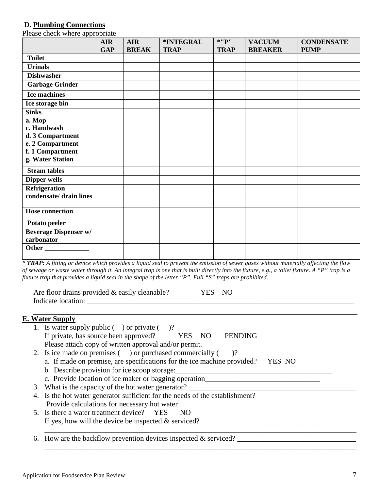#### **D. Plumbing Connections**

Please check where appropriate

|                              | <b>AIR</b> | <b>AIR</b>   | *INTEGRAL   | $*$ "P"     | <b>VACUUM</b>  | <b>CONDENSATE</b> |
|------------------------------|------------|--------------|-------------|-------------|----------------|-------------------|
|                              | <b>GAP</b> | <b>BREAK</b> | <b>TRAP</b> | <b>TRAP</b> | <b>BREAKER</b> | <b>PUMP</b>       |
| <b>Toilet</b>                |            |              |             |             |                |                   |
| <b>Urinals</b>               |            |              |             |             |                |                   |
| <b>Dishwasher</b>            |            |              |             |             |                |                   |
| <b>Garbage Grinder</b>       |            |              |             |             |                |                   |
| <b>Ice machines</b>          |            |              |             |             |                |                   |
| Ice storage bin              |            |              |             |             |                |                   |
| <b>Sinks</b>                 |            |              |             |             |                |                   |
| a. Mop                       |            |              |             |             |                |                   |
| c. Handwash                  |            |              |             |             |                |                   |
| d. 3 Compartment             |            |              |             |             |                |                   |
| e. 2 Compartment             |            |              |             |             |                |                   |
| f. 1 Compartment             |            |              |             |             |                |                   |
| g. Water Station             |            |              |             |             |                |                   |
| <b>Steam tables</b>          |            |              |             |             |                |                   |
| <b>Dipper wells</b>          |            |              |             |             |                |                   |
| Refrigeration                |            |              |             |             |                |                   |
| condensate/ drain lines      |            |              |             |             |                |                   |
|                              |            |              |             |             |                |                   |
| <b>Hose connection</b>       |            |              |             |             |                |                   |
| Potato peeler                |            |              |             |             |                |                   |
| <b>Beverage Dispenser w/</b> |            |              |             |             |                |                   |
| carbonator                   |            |              |             |             |                |                   |
| Other                        |            |              |             |             |                |                   |
|                              |            |              |             |             |                |                   |

<sup>1</sup><br>*\* TRAP: A fitting or device which provides a liquid seal to prevent the emission of sewer gases without materially affecting the flow of sewage or waste water through it. An integral trap is one that is built directly into the fixture, e.g., a toilet fixture. A "P" trap is a fixture trap that provides a liquid seal in the shape of the letter "P". Full "S" traps are prohibited*.

Are floor drains provided & easily cleanable? YES NO Indicate location:

## **E. Water Supply**

| 1. Is water supply public $($ $)$ or private $($ $)$ ?                            |
|-----------------------------------------------------------------------------------|
| If private, has source been approved? YES NO<br><b>PENDING</b>                    |
| Please attach copy of written approval and/or permit.                             |
| 2. Is ice made on premises () or purchased commercially (<br>$\mathcal{C}$        |
| a. If made on premise, are specifications for the ice machine provided?<br>YES NO |
| b. Describe provision for ice scoop storage:                                      |
| c. Provide location of ice maker or bagging operation______                       |
| 3. What is the capacity of the hot water generator?                               |
| 4. Is the hot water generator sufficient for the needs of the establishment?      |
| Provide calculations for necessary hot water                                      |
| 5. Is there a water treatment device? YES<br>NO                                   |
| If yes, how will the device be inspected $\&$ serviced?                           |
|                                                                                   |
| 6. How are the backflow prevention devices inspected $&$ serviced?                |

\_\_\_\_\_\_\_\_\_\_\_\_\_\_\_\_\_\_\_\_\_\_\_\_\_\_\_\_\_\_\_\_\_\_\_\_\_\_\_\_\_\_\_\_\_\_\_\_\_\_\_\_\_\_\_\_\_\_\_\_\_\_\_\_\_\_\_\_\_\_\_\_\_\_\_\_\_\_\_\_\_\_\_\_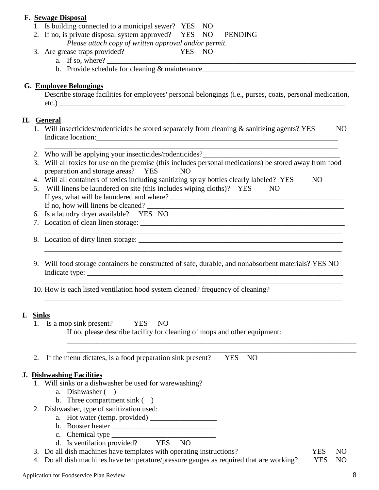**F. Sewage Disposal** 1. Is building connected to a municipal sewer? YES NO 2. If no, is private disposal system approved? YES NO PENDING *Please attach copy of written approval and/or permit*. 3. Are grease traps provided? YES NO a. If so, where?  $\overline{\phantom{a}}$ b. Provide schedule for cleaning & maintenance\_\_\_\_\_\_\_\_\_\_\_\_\_\_\_\_\_\_\_\_\_\_\_\_\_\_\_\_\_\_\_\_\_\_\_\_\_\_\_\_\_ **G. Employee Belongings** Describe storage facilities for employees' personal belongings (i.e., purses, coats, personal medication, etc.) **H. General** 1. Will insecticides/rodenticides be stored separately from cleaning & sanitizing agents? YES NO Indicate location:\_\_\_\_\_\_\_\_\_\_\_\_\_\_\_\_\_\_\_\_\_\_\_\_\_\_\_\_\_\_\_\_\_\_\_\_\_\_\_\_\_\_\_\_\_\_\_\_\_\_\_\_\_\_\_\_\_\_\_\_\_\_\_\_\_ \_\_\_\_\_\_\_\_\_\_\_\_\_\_\_\_\_\_\_\_\_\_\_\_\_\_\_\_\_\_\_\_\_\_\_\_\_\_\_\_\_\_\_\_\_\_\_\_\_\_\_\_\_\_\_\_\_\_\_\_\_\_\_\_\_\_\_\_\_\_\_\_\_\_\_\_\_\_\_ 2. Who will be applying your insecticides/rodenticides?\_\_\_\_\_\_\_\_\_\_\_\_\_\_\_\_\_\_\_\_\_\_\_\_\_\_ 3. Will all toxics for use on the premise (this includes personal medications) be stored away from food preparation and storage areas? YES NO 4. Will all containers of toxics including sanitizing spray bottles clearly labeled? YES NO 5. Will linens be laundered on site (this includes wiping cloths)? YES NO If yes, what will be laundered and where?\_\_\_\_\_\_\_\_\_\_\_\_\_\_\_\_\_\_\_\_\_\_\_\_\_\_\_\_\_\_\_\_\_\_\_\_\_\_\_\_\_\_\_\_\_\_\_ If no, how will linens be cleaned?  $\Box$ 6. Is a laundry dryer available? YES NO 7. Location of clean linen storage: \_\_\_\_\_\_\_\_\_\_\_\_\_\_\_\_\_\_\_\_\_\_\_\_\_\_\_\_\_\_\_\_\_\_\_\_\_\_\_\_\_\_\_\_\_\_\_\_\_\_\_\_\_\_\_ \_\_\_\_\_\_\_\_\_\_\_\_\_\_\_\_\_\_\_\_\_\_\_\_\_\_\_\_\_\_\_\_\_\_\_\_\_\_\_\_\_\_\_\_\_\_\_\_\_\_\_\_\_\_\_\_\_\_\_\_\_\_\_\_\_\_\_\_\_\_\_\_\_\_\_\_\_\_\_\_ 8. Location of dirty linen storage: \_\_\_\_\_\_\_\_\_\_\_\_\_\_\_\_\_\_\_\_\_\_\_\_\_\_\_\_\_\_\_\_\_\_\_\_\_\_\_\_\_\_\_\_\_\_\_\_\_\_\_\_\_\_\_\_\_\_\_\_\_\_\_\_\_\_\_\_\_\_\_\_\_\_\_\_\_\_\_\_ 9. Will food storage containers be constructed of safe, durable, and nonabsorbent materials? YES NO Indicate type:

\_\_\_\_\_\_\_\_\_\_\_\_\_\_\_\_\_\_\_\_\_\_\_\_\_\_\_\_\_\_\_\_\_\_\_\_\_\_\_\_\_\_\_\_\_\_\_\_\_\_\_\_\_\_\_\_\_\_\_\_\_\_\_\_\_\_\_\_\_\_\_\_\_\_\_\_\_\_\_\_

\_\_\_\_\_\_\_\_\_\_\_\_\_\_\_\_\_\_\_\_\_\_\_\_\_\_\_\_\_\_\_\_\_\_\_\_\_\_\_\_\_\_\_\_\_\_\_\_\_\_\_\_\_\_\_\_\_\_\_\_\_\_\_\_\_\_\_\_\_\_\_\_\_\_\_\_\_\_\_\_

10. How is each listed ventilation hood system cleaned? frequency of cleaning?

## **I. Sinks**

- 1. Is a mop sink present? YES NO If no, please describe facility for cleaning of mops and other equipment:
- \_\_\_\_\_\_\_\_\_\_\_\_\_\_\_\_\_\_\_\_\_\_\_\_\_\_\_\_\_\_\_\_\_\_\_\_\_\_\_\_\_\_\_\_\_\_\_\_\_\_\_\_\_\_\_\_\_\_\_\_\_\_\_\_\_\_\_\_\_\_\_\_\_\_\_\_\_\_ 2. If the menu dictates, is a food preparation sink present? YES NO

#### **J. Dishwashing Facilities**

- 1. Will sinks or a dishwasher be used for warewashing?
	- a. Dishwasher ( )
	- b. Three compartment sink ()
- 2. Dishwasher, type of sanitization used:
	- a. Hot water (temp. provided) \_\_\_\_\_\_\_\_\_\_\_\_\_\_\_\_\_\_
	- b. Booster heater \_\_\_\_\_\_\_\_\_\_\_\_\_\_\_\_\_\_\_\_\_\_\_\_\_\_\_\_
	- c. Chemical type  $\frac{1}{\sqrt{1-\frac{1}{2}}\sqrt{1-\frac{1}{2}}\sqrt{1-\frac{1}{2}}\sqrt{1-\frac{1}{2}}\sqrt{1-\frac{1}{2}}\sqrt{1-\frac{1}{2}}\sqrt{1-\frac{1}{2}}\sqrt{1-\frac{1}{2}}\sqrt{1-\frac{1}{2}}\sqrt{1-\frac{1}{2}}\sqrt{1-\frac{1}{2}}\sqrt{1-\frac{1}{2}}\sqrt{1-\frac{1}{2}}\sqrt{1-\frac{1}{2}}\sqrt{1-\frac{1}{2}}\sqrt{1-\frac{1}{2}}\sqrt{1-\frac{1}{2}}\sqrt{1-\frac{1}{2}}$
	- d. Is ventilation provided? YES NO
- 3. Do all dish machines have templates with operating instructions? YES NO
- 4. Do all dish machines have temperature/pressure gauges as required that are working? YES NO

### Application for Foodservice Plan Review 8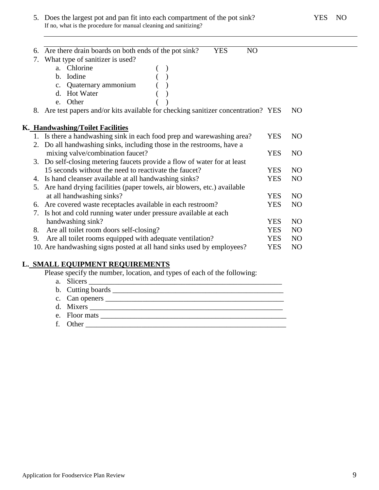5. Does the largest pot and pan fit into each compartment of the pot sink? YES NO If no, what is the procedure for manual cleaning and sanitizing?

| 6. | <b>YES</b><br>Are there drain boards on both ends of the pot sink?<br>N <sub>O</sub> |            |                |  |
|----|--------------------------------------------------------------------------------------|------------|----------------|--|
| 7. | What type of sanitizer is used?                                                      |            |                |  |
|    | a. Chlorine                                                                          |            |                |  |
|    | b. Iodine                                                                            |            |                |  |
|    | c. Quaternary ammonium                                                               |            |                |  |
|    | d. Hot Water                                                                         |            |                |  |
|    | e. Other                                                                             |            |                |  |
|    | 8. Are test papers and/or kits available for checking sanitizer concentration? YES   |            | N <sub>O</sub> |  |
|    |                                                                                      |            |                |  |
|    | K. Handwashing/Toilet Facilities                                                     |            |                |  |
|    | 1. Is there a handwashing sink in each food prep and warewashing area?               | <b>YES</b> | N <sub>O</sub> |  |
|    | 2. Do all handwashing sinks, including those in the restrooms, have a                |            |                |  |
|    | mixing valve/combination faucet?                                                     | <b>YES</b> | N <sub>O</sub> |  |
|    | 3. Do self-closing metering faucets provide a flow of water for at least             |            |                |  |
|    | 15 seconds without the need to reactivate the faucet?                                | <b>YES</b> | N <sub>O</sub> |  |
|    | 4. Is hand cleanser available at all handwashing sinks?                              | <b>YES</b> | N <sub>O</sub> |  |
|    | 5. Are hand drying facilities (paper towels, air blowers, etc.) available            |            |                |  |
|    | at all handwashing sinks?                                                            | <b>YES</b> | N <sub>O</sub> |  |
|    | 6. Are covered waste receptacles available in each restroom?                         | <b>YES</b> | N <sub>O</sub> |  |
| 7. | Is hot and cold running water under pressure available at each                       |            |                |  |
|    | handwashing sink?                                                                    | <b>YES</b> | N <sub>O</sub> |  |
| 8. | Are all toilet room doors self-closing?                                              | <b>YES</b> | N <sub>O</sub> |  |
| 9. | Are all toilet rooms equipped with adequate ventilation?                             | <b>YES</b> | N <sub>O</sub> |  |
|    | 10. Are handwashing signs posted at all hand sinks used by employees?                | <b>YES</b> | N <sub>O</sub> |  |
|    |                                                                                      |            |                |  |

## **L. SMALL EQUIPMENT REQUIREMENTS**

Please specify the number, location, and types of each of the following:

a. Slicers \_\_\_\_\_\_\_\_\_\_\_\_\_\_\_\_\_\_\_\_\_\_\_\_\_\_\_\_\_\_\_\_\_\_\_\_\_\_\_\_\_\_\_\_\_\_\_\_\_\_\_\_ b. Cutting boards \_\_\_\_\_\_\_\_\_\_\_\_\_\_\_\_\_\_\_\_\_\_\_\_\_\_\_\_\_\_\_\_\_\_\_\_\_\_\_\_\_\_\_\_\_\_ c. Can openers \_\_\_\_\_\_\_\_\_\_\_\_\_\_\_\_\_\_\_\_\_\_\_\_\_\_\_\_\_\_\_\_\_\_\_\_\_\_\_\_\_\_\_\_\_\_\_\_ d. Mixers \_\_\_\_\_\_\_\_\_\_\_\_\_\_\_\_\_\_\_\_\_\_\_\_\_\_\_\_\_\_\_\_\_\_\_\_\_\_\_\_\_\_\_\_\_\_\_\_\_\_\_\_ e. Floor mats \_\_\_\_\_\_\_\_\_\_\_\_\_\_\_\_\_\_\_\_\_\_\_\_\_\_\_\_\_\_\_\_\_\_\_\_\_\_\_\_\_\_\_\_\_\_\_\_\_\_ f. Other